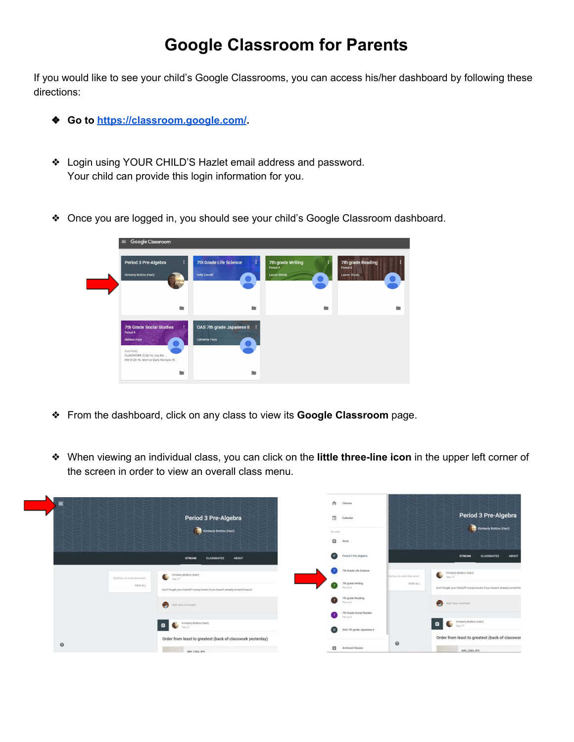## **Google Classroom for Parents**

If you would like to see your child's Google Classrooms, you can access his/her dashboard by following these directions:

- ❖ **Go to <https://classroom.google.com/>.**
- ❖ Login using YOUR CHILD'S Hazlet email address and password. Your child can provide this login information for you.
- ❖ Once you are logged in, you should see your child's Google Classroom dashboard.

| Google Classroom<br>$\equiv$                                                                                                                  |                                                 |                                                        |                                                        |  |  |
|-----------------------------------------------------------------------------------------------------------------------------------------------|-------------------------------------------------|--------------------------------------------------------|--------------------------------------------------------|--|--|
| Period 3 Pre-Algebra<br>÷<br>Kimberly Bottino (Hart)                                                                                          | <b>7th Grade Life Science</b><br>Kelly Corvelli | 7th grade Writing<br>Period 4<br><b>Lauren Stivala</b> | <b>7th grade Reading</b><br>Period 5<br>Lauren Stivala |  |  |
| n.                                                                                                                                            | <b>CO</b>                                       | n.                                                     | m                                                      |  |  |
| <b>7th Grade Social Studies</b><br>Period 8<br>Melissa Pepe<br>Due today<br>CLASSWORK 9/28/16: Use the<br>HW 9/23/16: Work on Early Humans St | OAS 7th grade Japanese II<br>Catherine Fisco    |                                                        |                                                        |  |  |
| $\sim$                                                                                                                                        | <b>College</b>                                  |                                                        |                                                        |  |  |

- ❖ From the dashboard, click on any class to view its **Google Classroom** page.
- ❖ When viewing an individual class, you can click on the **little three-line icon** in the upper left corner of the screen in order to view an overall class menu.

| Ξ                                         | Period 3 Pre-Algebra<br>Kimberly Botting (Hart)                                                                             | ñ<br>Claires<br>$\overline{\phantom{a}}$<br>Calendar<br>Evelad |                                          | Period 3 Pre-Algebra<br>Kimberly Botting (Nart)                                                                    |
|-------------------------------------------|-----------------------------------------------------------------------------------------------------------------------------|----------------------------------------------------------------|------------------------------------------|--------------------------------------------------------------------------------------------------------------------|
|                                           |                                                                                                                             | a<br>Work                                                      |                                          |                                                                                                                    |
|                                           | <b>CLASSMATES</b><br><b>ABOUT</b><br><b>STREAM</b>                                                                          | Q<br>Period 3 Pre-Algebra                                      |                                          | <b>ABOUT</b><br><b>STREAM</b><br><b>CLASSMATES</b>                                                                 |
| Wildfield, no wirth than soom<br>VIEW ALL | Kimberly Bottino (Hart)<br>G<br>Sep 27.<br>: Don't forget your Kidstuff money/books if you faiven't already turned those in | 7th Orade Life Science<br>7th grade Writing<br>Particul A.     | <b>SUPOS AS NON-DUE EDDY</b><br>VIEW ALL | Kimberly Bottovo (Hart)<br>÷<br>580.22<br>Don't forget your Kidstuff money books if you haven't already turned tho |
|                                           | $\odot$<br>Add class comment.                                                                                               | Tth grade Reading<br>σ<br>Parcel S<br>7th Grade Social Studies |                                          | $\bullet$<br>Add class comment.                                                                                    |
|                                           | Kimberly Bottino (Hart)<br>Ŀ.<br>a<br>5m23                                                                                  | Particular St.<br>OAS 7th grade Japanese it<br>ω               |                                          | Kimberly Botting (Hart)<br>d.<br>$\tan 27$                                                                         |
| $\mathbf 0$                               | Order from least to greatest (back of classwork yesterday)<br>MO 2364, PO                                                   | o<br>Archived Classes                                          | $\circ$                                  | Order from least to greatest (back of classwor<br><b>BAG 2384, IPO</b>                                             |